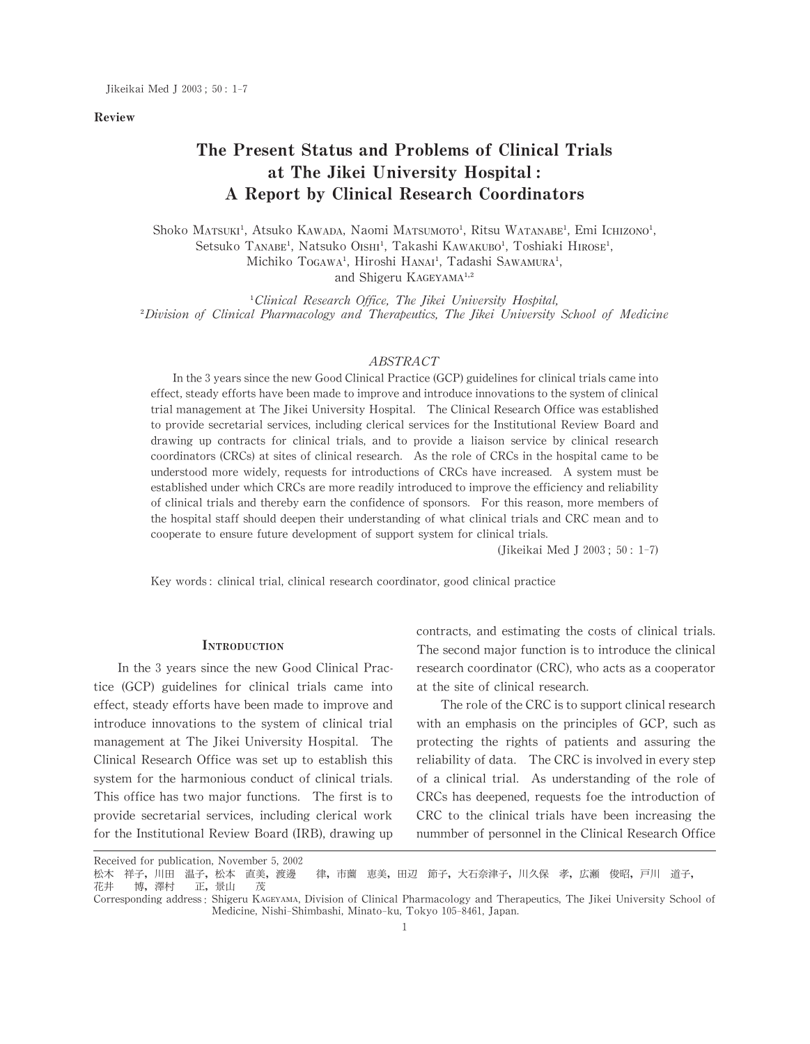#### Review

# The Present Status and Problems of Clinical Trials at The Jikei University Hospital: A Report by Clinical Research Coordinators

Shoko Matsuki<sup>1</sup>, Atsuko Kawada, Naomi Matsumoto<sup>1</sup>, Ritsu Watanabe<sup>1</sup>, Emi Ichizono<sup>1</sup>, Setsuko TANABE<sup>1</sup>, Natsuko OISHI<sup>1</sup>, Takashi KAWAKUBO<sup>1</sup>, Toshiaki HIROSE<sup>1</sup>, Michiko Togawa<sup>1</sup>, Hiroshi Hanai<sup>1</sup>, Tadashi Sawamura<sup>1</sup>, and Shigeru KAGEYAMA<sup>1,2</sup>

<sup>1</sup>Clinical Research Office, The Jikei University Hospital, <sup>2</sup>Division of Clinical Pharmacology and Therapeutics, The Jikei University School of Medicine

# ABSTRACT

In the 3 years since the new Good Clinical Practice (GCP) guidelines for clinical trials came into effect, steady efforts have been made to improve and introduce innovations to the system of clinical trial management at The Jikei University Hospital. The Clinical Research Office was established to provide secretarial services, including clerical services for the Institutional Review Board and drawing up contracts for clinical trials, and to provide a liaison service by clinical research coordinators (CRCs) at sites of clinical research. As the role of CRCs in the hospital came to be understood more widely, requests for introductions of CRCs have increased. A system must be established under which CRCs are more readily introduced to improve the efficiency and reliability of clinical trials and thereby earn the confidence of sponsors. For this reason, more members of the hospital staff should deepen their understanding of what clinical trials and CRC mean and to cooperate to ensure future development of support system for clinical trials.

(Jikeikai Med J 2003; 50: 1-7)

Key words: clinical trial, clinical research coordinator, good clinical practice

#### **INTRODUCTION**

In the 3 years since the new Good Clinical Practice (GCP) guidelines for clinical trials came into effect, steady efforts have been made to improve and introduce innovations to the system of clinical trial management at The Jikei University Hospital. The Clinical Research Office was set up to establish this system for the harmonious conduct of clinical trials. This office has two major functions. The first is to provide secretarial services, including clerical work for the Institutional Review Board (IRB), drawing up contracts, and estimating the costs of clinical trials. The second major function is to introduce the clinical research coordinator (CRC), who acts as a cooperator at the site of clinical research.

The role of the CRC is to support clinical research with an emphasis on the principles of GCP, such as protecting the rights of patients and assuring the reliability of data. The CRC is involved in every step of a clinical trial. As understanding of the role of CRCs has deepened, requests foe the introduction of CRC to the clinical trials have been increasing the nummber of personnel in the Clinical Research Office

Received for publication, November 5, 2002<br>松木 祥子, 川田 温子, 松本 直美, 渡邊 <sup>:</sup>子, 川田 温子, 松本 直美, 渡邊 律, 市薗 恵美, 田辺 節子, 大石奈津子, 川久保 孝, 広瀬 俊昭, 戸川 道子,<br>博, 澤村 正, 景山 茂 花井 博,澤村 正,景山 Corresponding address: Shigeru KAGEYAMA, Division of Clinical Pharmacology and Therapeutics, The Jikei University School of

Medicine, Nishi-Shimbashi, Minato-ku, Tokyo 105-8461, Japan.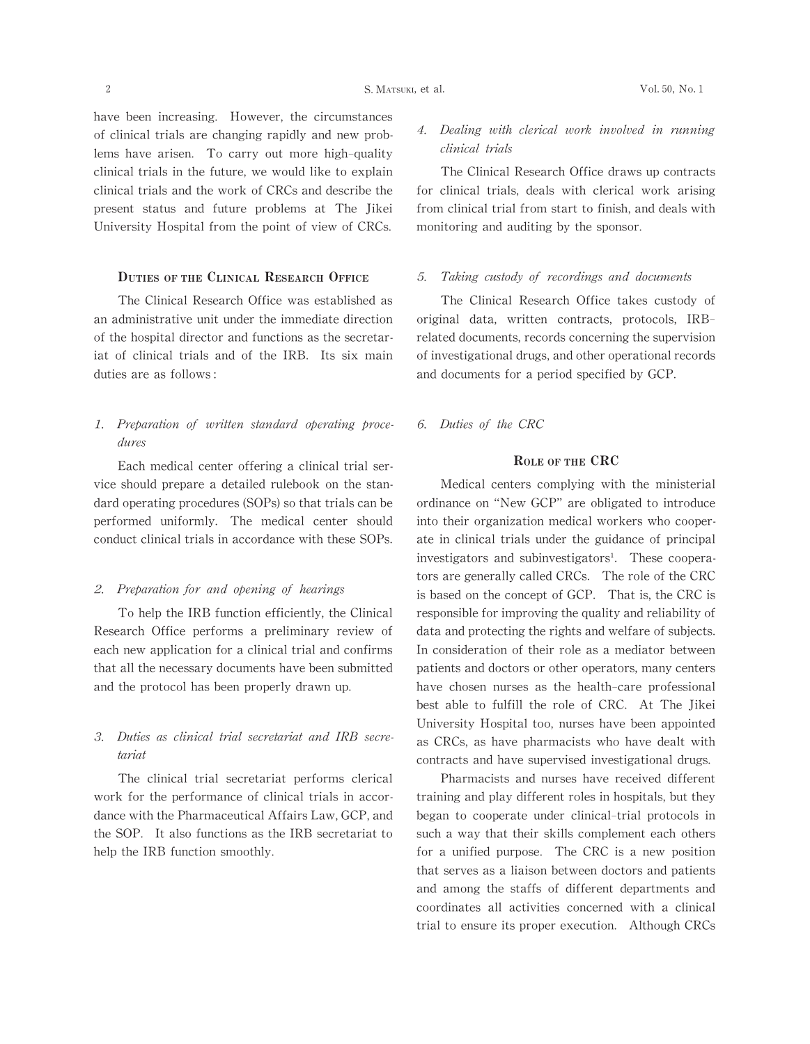have been increasing. However, the circumstances of clinical trials are changing rapidly and new problems have arisen. To carry out more high-quality clinical trials in the future, we would like to explain clinical trials and the work of CRCs and describe the present status and future problems at The Jikei University Hospital from the point of view of CRCs.

# DUTIES OF THE CLINICAL RESEARCH OFFICE

The Clinical Research Office was established as an administrative unit under the immediate direction of the hospital director and functions as the secretariat of clinical trials and of the IRB. Its six main duties are as follows:

# 1. Preparation of written standard operating proce dures

Each medical center offering a clinical trial service should prepare a detailed rulebook on the standard operating procedures (SOPs) so that trials can be performed uniformly. The medical center should conduct clinical trials in accordance with these SOPs.

# 2. Preparation for and opening of hearings

To help the IRB function efficiently, the Clinical Research Office performs a preliminary review of each new application for a clinical trial and confirms that all the necessary documents have been submitted and the protocol has been properly drawn up.

# 3. Duties as clinical trial secretariat and IRB secretariat

The clinical trial secretariat performs clerical work for the performance of clinical trials in accordance with the Pharmaceutical Affairs Law, GCP, and the SOP. It also functions as the IRB secretariat to help the IRB function smoothly.

# 4. Dealing with clerical work involved in running clinical trials

The Clinical Research Office draws up contracts for clinical trials, deals with clerical work arising from clinical trial from start to finish, and deals with monitoring and auditing by the sponsor.

# 5. Taking custody of recordings and documents

The Clinical Research Office takes custody of original data, written contracts, protocols, IRBrelated documents, records concerning the supervision of investigational drugs, and other operational records and documents for a period specified by GCP.

6. Duties of the CRC

# ROLE OF THE CRC

Medical centers complying with the ministerial ordinance on "New GCP" are obligated to introduce into their organization medical workers who cooperate in clinical trials under the guidance of principal investigators and subinvestigators<sup>1</sup>. These cooperators are generally called CRCs. The role of the CRC is based on the concept of GCP. That is, the CRC is responsible for improving the quality and reliability of data and protecting the rights and welfare of subjects. In consideration of their role as a mediator between patients and doctors or other operators, many centers have chosen nurses as the health-care professional best able to fulfill the role of CRC. At The Jikei University Hospital too, nurses have been appointed as CRCs, as have pharmacists who have dealt with contracts and have supervised investigational drugs.

Pharmacists and nurses have received different training and play different roles in hospitals, but they began to cooperate under clinical-trial protocols in such a way that their skills complement each others for a unified purpose. The CRC is a new position that serves as a liaison between doctors and patients and among the staffs of different departments and coordinates all activities concerned with a clinical trial to ensure its proper execution. Although CRCs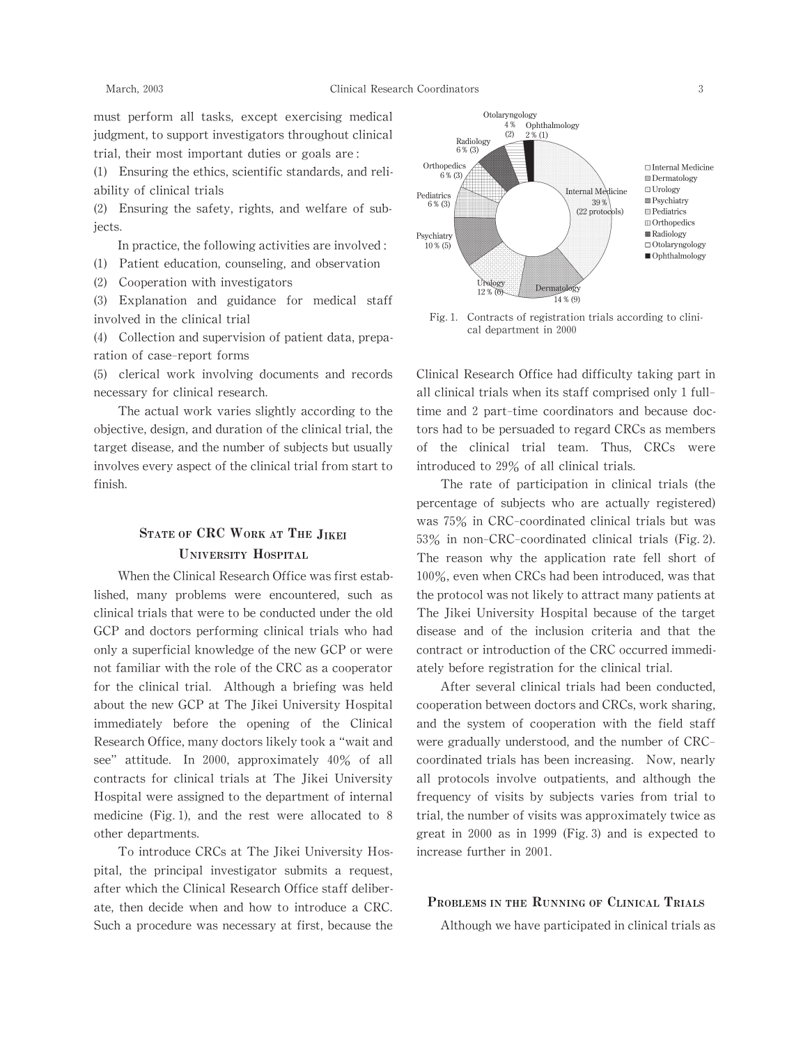must perform all tasks, except exercising medical judgment, to support investigators throughout clinical trial, their most important duties or goals are:

(1) Ensuring the ethics, scientific standards, and reliability of clinical trials

(2) Ensuring the safety, rights, and welfare of subjects.

In practice, the following activities are involved:

(1) Patient education,counseling,and observation

(2) Cooperation with investigators

(3) Explanation and guidance for medical staff involved in the clinical trial

 $(4)$  Collection and supervision of patient data, preparation of case-report forms

(5) clerical work involving documents and records necessary for clinical research.

The actual work varies slightly according to the objective, design, and duration of the clinical trial, the target disease, and the number of subjects but usually involves every aspect of the clinical trial from start to finish.

# STATE OF CRC WORK AT THE JIKEI UNIVERSITY HOSPITAL

When the Clinical Research Office was first established, many problems were encountered, such as clinical trials that were to be conducted under the old GCP and doctors performing clinical trials who had only a superficial knowledge of the new GCP or were not familiar with the role of the CRC as a cooperator for the clinical trial. Although a briefing was held about the new GCP at The Jikei University Hospital immediately before the opening of the Clinical Research Office, many doctors likely took a "wait and see" attitude. In 2000, approximately 40% of all contracts for clinical trials at The Jikei University Hospital were assigned to the department of internal medicine (Fig.1), and the rest were allocated to 8 other departments.

To introduce CRCs at The Jikei University Hospital, the principal investigator submits a request, after which the Clinical Research Office staff deliberate, then decide when and how to introduce a CRC. Such a procedure was necessary at first, because the



Fig. 1. Contracts of registration trials according to clinical department in 2000

Clinical Research Office had difficulty taking part in all clinical trials when its staff comprised only 1 fulltime and 2 part-time coordinators and because doctors had to be persuaded to regard CRCs as members of the clinical trial team. Thus, CRCs were introduced to 29% of all clinical trials.

The rate of participation in clinical trials (the percentage of subjects who are actually registered) was 75% in CRC-coordinated clinical trials but was 53% in non-CRC-coordinated clinical trials (Fig.2). The reason why the application rate fell short of  $100\%$ , even when CRCs had been introduced, was that the protocol was not likely to attract many patients at The Jikei University Hospital because of the target disease and of the inclusion criteria and that the contract or introduction of the CRC occurred immediately before registration for the clinical trial.

After several clinical trials had been conducted, cooperation between doctors and CRCs, work sharing, and the system of cooperation with the field staff were gradually understood, and the number of CRCcoordinated trials has been increasing. Now, nearly all protocols involve outpatients, and although the frequency of visits by subjects varies from trial to trial, the number of visits was approximately twice as great in 2000 as in 1999 (Fig.3) and is expected to increase further in 2001.

# PROBLEMS IN THE RUNNING OF CLINICAL TRIALS

Although we have participated in clinical trials as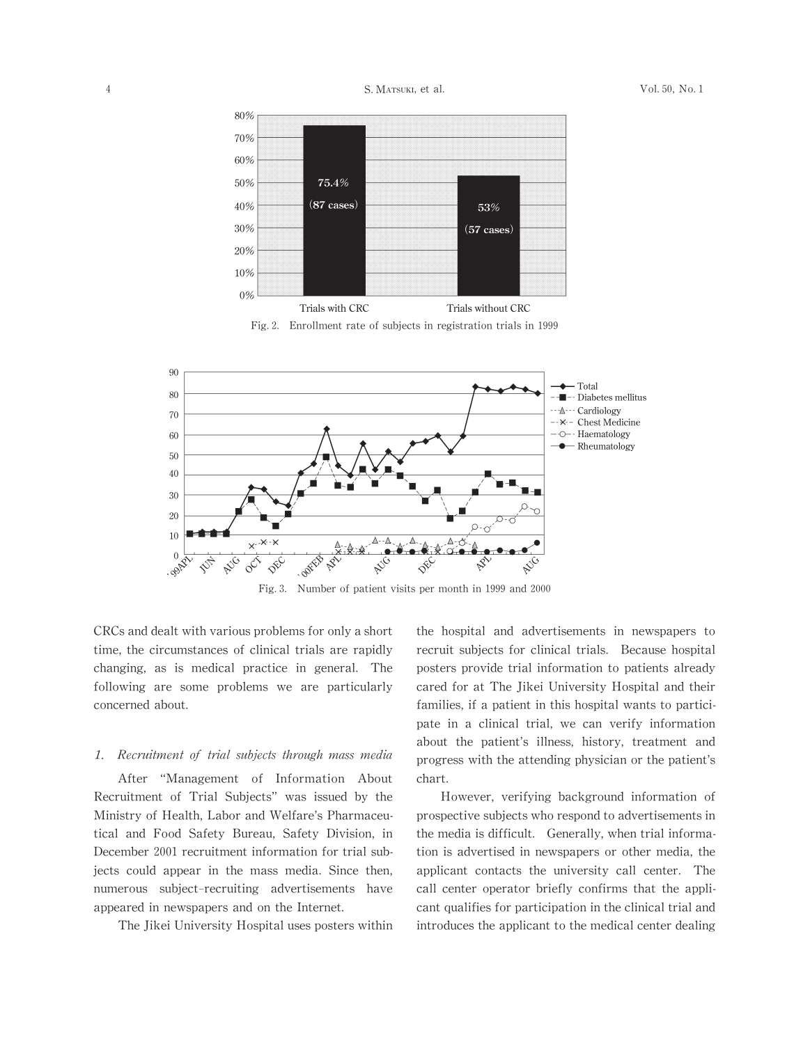

Fig.2. Enrollment rate of subjects in registration trials in 1999



Fig.3. Number of patient visits per month in 1999 and 2000

CRCs and dealt with various problems for only a short time, the circumstances of clinical trials are rapidly changing, as is medical practice in general. The following are some problems we are particularly concerned about.

#### 1. Recruitment of trial subjects through mass media

After "Management of Information About Recruitment of Trial Subjects" was issued by the Ministry of Health, Labor and Welfare's Pharmaceutical and Food Safety Bureau, Safety Division, in December 2001 recruitment information for trial subjects could appear in the mass media. Since then, numerous subject-recruiting advertisements have appeared in newspapers and on the Internet.

The Jikei University Hospital uses posters within

the hospital and advertisements in newspapers to recruit subjects for clinical trials. Because hospital posters provide trial information to patients already cared for at The Jikei University Hospital and their families, if a patient in this hospital wants to participate in a clinical trial, we can verify information about the patient's illness, history, treatment and progress with the attending physician or the patient's chart.

However, verifying background information of prospective subjects who respond to advertisements in the media is difficult. Generally, when trial information is advertised in newspapers or other media, the applicant contacts the university call center. The call center operator briefly confirms that the applicant qualifies for participation in the clinical trial and introduces the applicant to the medical center dealing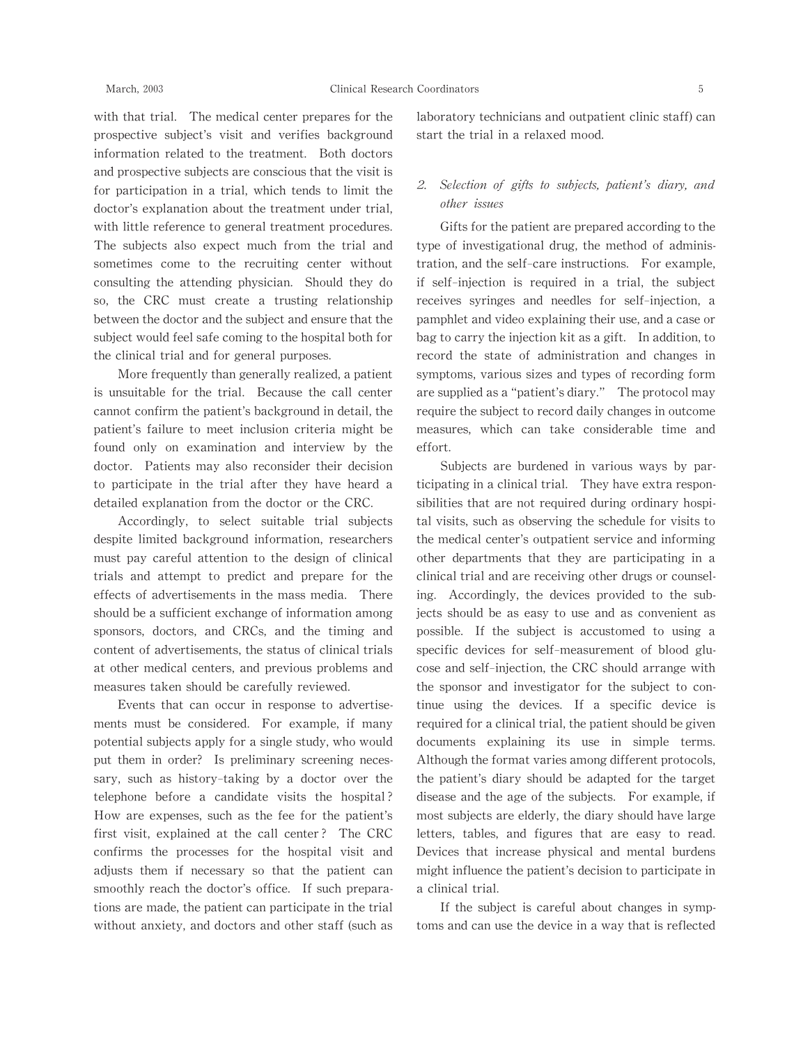with that trial. The medical center prepares for the prospective subject's visit and verifies background information related to the treatment. Both doctors and prospective subjects are conscious that the visit is for participation in a trial, which tends to limit the doctor's explanation about the treatment under trial, with little reference to general treatment procedures. The subjects also expect much from the trial and sometimes come to the recruiting center without consulting the attending physician. Should they do so, the CRC must create a trusting relationship between the doctor and the subject and ensure that the subject would feel safe coming to the hospital both for the clinical trial and for general purposes.

More frequently than generally realized, a patient is unsuitable for the trial. Because the call center cannot confirm the patient's background in detail, the patient's failure to meet inclusion criteria might be found only on examination and interview by the doctor. Patients may also reconsider their decision to participate in the trial after they have heard a detailed explanation from the doctor or the CRC.

Accordingly, to select suitable trial subjects despite limited background information, researchers must pay careful attention to the design of clinical trials and attempt to predict and prepare for the effects of advertisements in the mass media. There should be a sufficient exchange of information among sponsors, doctors, and CRCs, and the timing and content of advertisements, the status of clinical trials at other medical centers, and previous problems and measures taken should be carefully reviewed.

Events that can occur in response to advertisements must be considered. For example, if many potential subjects apply for a single study, who would put them in order? Is preliminary screening necessary, such as history-taking by a doctor over the telephone before a candidate visits the hospital? How are expenses, such as the fee for the patient's first visit, explained at the call center? The CRC confirms the processes for the hospital visit and adjusts them if necessary so that the patient can smoothly reach the doctor's office. If such preparations are made, the patient can participate in the trial without anxiety, and doctors and other staff (such as laboratory technicians and outpatient clinic staff) can start the trial in a relaxed mood.

# 2. Selection of gifts to subjects, patient's diary, and other issues

Gifts for the patient are prepared according to the type of investigational drug, the method of administration,and the self-care instructions. For example, if self-injection is required in a trial, the subject receives syringes and needles for self-injection, a pamphlet and video explaining their use, and a case or bag to carry the injection kit as a gift. In addition, to record the state of administration and changes in symptoms, various sizes and types of recording form are supplied as a "patient's diary." The protocol may require the subject to record daily changes in outcome measures, which can take considerable time and effort.

Subjects are burdened in various ways by participating in a clinical trial. They have extra responsibilities that are not required during ordinary hospital visits, such as observing the schedule for visits to the medical center's outpatient service and informing other departments that they are participating in a clinical trial and are receiving other drugs or counseling. Accordingly, the devices provided to the subjects should be as easy to use and as convenient as possible. If the subject is accustomed to using a specific devices for self-measurement of blood glucose and self-injection, the CRC should arrange with the sponsor and investigator for the subject to continue using the devices. If a specific device is required for a clinical trial, the patient should be given documents explaining its use in simple terms. Although the format varies among different protocols, the patient's diary should be adapted for the target disease and the age of the subjects. For example, if most subjects are elderly, the diary should have large letters, tables, and figures that are easy to read. Devices that increase physical and mental burdens might influence the patient's decision to participate in a clinical trial.

If the subject is careful about changes in symptoms and can use the device in a way that is reflected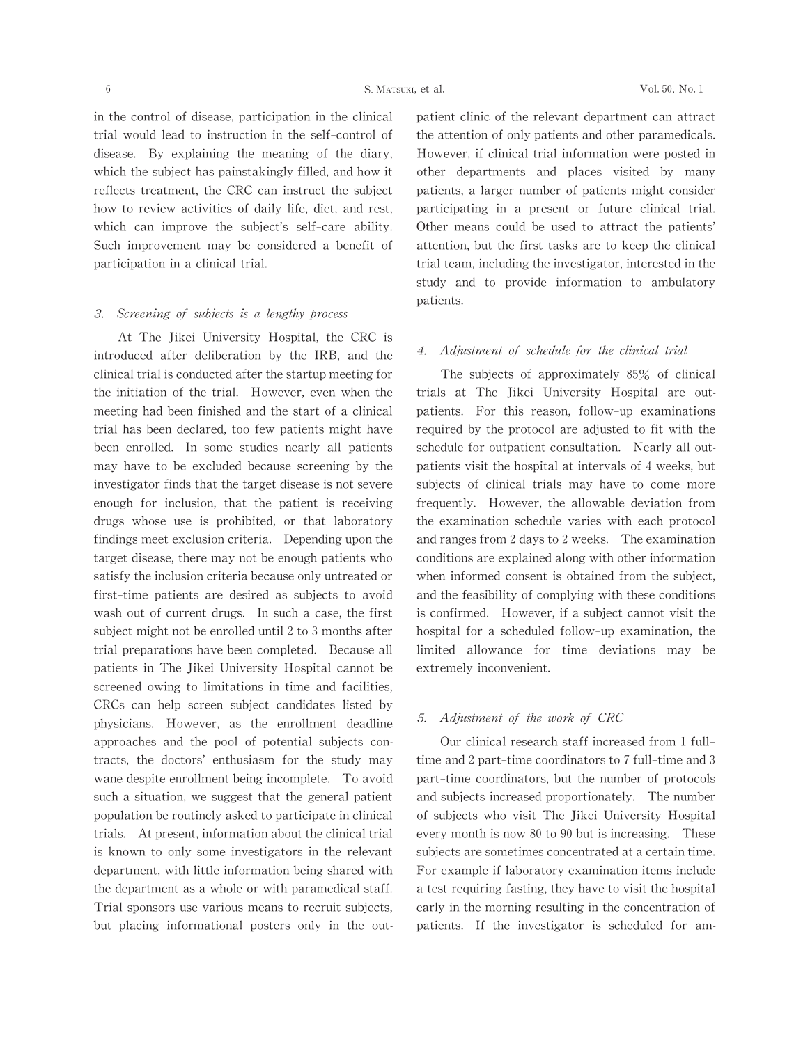in the control of disease, participation in the clinical trial would lead to instruction in the self-control of disease. By explaining the meaning of the diary, which the subject has painstakingly filled, and how it reflects treatment, the CRC can instruct the subject how to review activities of daily life, diet, and rest, which can improve the subject's self-care ability. Such improvement may be considered a benefit of participation in a clinical trial.

# 3. Screening of subjects is a lengthy process

At The Jikei University Hospital, the CRC is introduced after deliberation by the IRB, and the clinical trial is conducted after the startup meeting for the initiation of the trial. However, even when the meeting had been finished and the start of a clinical trial has been declared, too few patients might have been enrolled. In some studies nearly all patients may have to be excluded because screening by the investigator finds that the target disease is not severe enough for inclusion, that the patient is receiving drugs whose use is prohibited, or that laboratory findings meet exclusion criteria. Depending upon the target disease, there may not be enough patients who satisfy the inclusion criteria because only untreated or first-time patients are desired as subjects to avoid wash out of current drugs. In such a case, the first subject might not be enrolled until 2 to 3 months after trial preparations have been completed. Because all patients in The Jikei University Hospital cannot be screened owing to limitations in time and facilities, CRCs can help screen subject candidates listed by physicians. However, as the enrollment deadline approaches and the pool of potential subjects contracts, the doctors'enthusiasm for the study may wane despite enrollment being incomplete. To avoid such a situation, we suggest that the general patient population be routinely asked to participate in clinical trials. At present, information about the clinical trial is known to only some investigators in the relevant department, with little information being shared with the department as a whole or with paramedical staff. Trial sponsors use various means to recruit subjects, but placing informational posters only in the outpatient clinic of the relevant department can attract the attention of only patients and other paramedicals. However, if clinical trial information were posted in other departments and places visited by many patients, a larger number of patients might consider participating in a present or future clinical trial. Other means could be used to attract the patients' attention, but the first tasks are to keep the clinical trial team, including the investigator, interested in the study and to provide information to ambulatory patients.

### 4. Adjustment of schedule for the clinical trial

The subjects of approximately 85% of clinical trials at The Jikei University Hospital are outpatients. For this reason, follow-up examinations required by the protocol are adjusted to fit with the schedule for outpatient consultation. Nearlyall outpatients visit the hospital at intervals of 4 weeks, but subjects of clinical trials may have to come more frequently. However, the allowable deviation from the examination schedule varies with each protocol and ranges from 2 days to 2 weeks. The examination conditions are explained along with other information when informed consent is obtained from the subject, and the feasibility of complying with these conditions is confirmed. However, if a subject cannot visit the hospital for a scheduled follow-up examination, the limited allowance for time deviations may be extremely inconvenient.

#### 5. Adjustment of the work of CRC

Our clinical research staffincreased from 1 fulltime and 2 part-time coordinators to 7 full-time and 3 part-time coordinators, but the number of protocols and subjects increased proportionately. The number of subjects who visit The Jikei University Hospital every month is now 80 to 90 but is increasing. These subjects are sometimes concentrated at a certain time. For example if laboratory examination items include a test requiring fasting, they have to visit the hospital early in the morning resulting in the concentration of patients. If the investigator is scheduled for am-